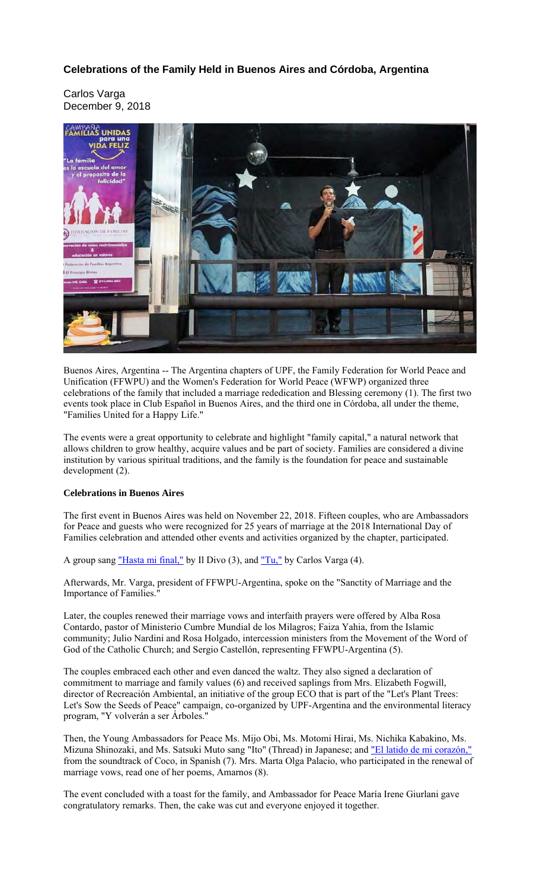## **Celebrations of the Family Held in Buenos Aires and Córdoba, Argentina**

Carlos Varga December 9, 2018



Buenos Aires, Argentina -- The Argentina chapters of UPF, the Family Federation for World Peace and Unification (FFWPU) and the Women's Federation for World Peace (WFWP) organized three celebrations of the family that included a marriage rededication and Blessing ceremony (1). The first two events took place in Club Español in Buenos Aires, and the third one in Córdoba, all under the theme, "Families United for a Happy Life."

The events were a great opportunity to celebrate and highlight "family capital," a natural network that allows children to grow healthy, acquire values and be part of society. Families are considered a divine institution by various spiritual traditions, and the family is the foundation for peace and sustainable development (2).

## **Celebrations in Buenos Aires**

The first event in Buenos Aires was held on November 22, 2018. Fifteen couples, who are Ambassadors for Peace and guests who were recognized for 25 years of marriage at the 2018 International Day of Families celebration and attended other events and activities organized by the chapter, participated.

A group sang "Hasta mi final," by Il Divo (3), and "Tu," by Carlos Varga (4).

Afterwards, Mr. Varga, president of FFWPU-Argentina, spoke on the "Sanctity of Marriage and the Importance of Families."

Later, the couples renewed their marriage vows and interfaith prayers were offered by Alba Rosa Contardo, pastor of Ministerio Cumbre Mundial de los Milagros; Faiza Yahia, from the Islamic community; Julio Nardini and Rosa Holgado, intercession ministers from the Movement of the Word of God of the Catholic Church; and Sergio Castellón, representing FFWPU-Argentina (5).

The couples embraced each other and even danced the waltz. They also signed a declaration of commitment to marriage and family values (6) and received saplings from Mrs. Elizabeth Fogwill, director of Recreación Ambiental, an initiative of the group ECO that is part of the "Let's Plant Trees: Let's Sow the Seeds of Peace" campaign, co-organized by UPF-Argentina and the environmental literacy program, "Y volverán a ser Árboles."

Then, the Young Ambassadors for Peace Ms. Mijo Obi, Ms. Motomi Hirai, Ms. Nichika Kabakino, Ms. Mizuna Shinozaki, and Ms. Satsuki Muto sang "Ito" (Thread) in Japanese; and "El latido de mi corazón," from the soundtrack of Coco, in Spanish (7). Mrs. Marta Olga Palacio, who participated in the renewal of marriage vows, read one of her poems, Amarnos (8).

The event concluded with a toast for the family, and Ambassador for Peace María Irene Giurlani gave congratulatory remarks. Then, the cake was cut and everyone enjoyed it together.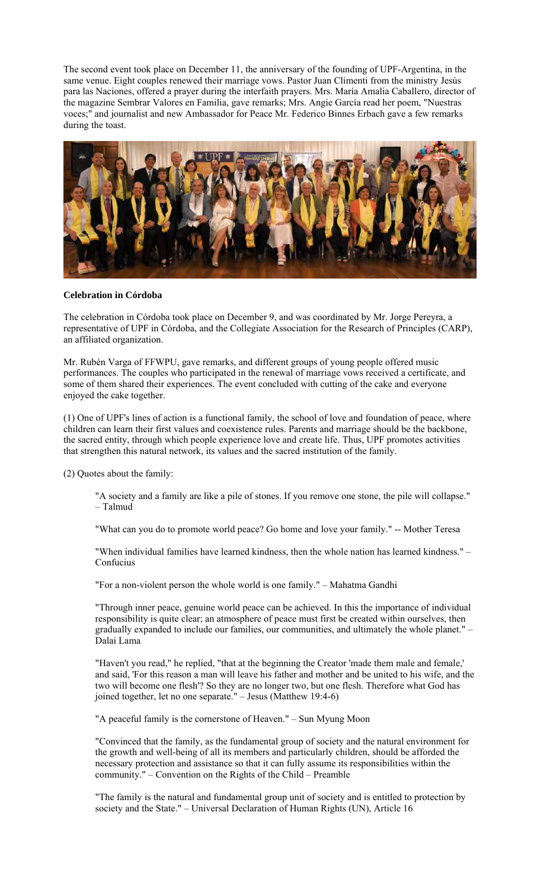The second event took place on December 11, the anniversary of the founding of UPF-Argentina, in the same venue. Eight couples renewed their marriage vows. Pastor Juan Climenti from the ministry Jesús para las Naciones, offered a prayer during the interfaith prayers. Mrs. María Amalia Caballero, director of the magazine Sembrar Valores en Familia, gave remarks; Mrs. Angie García read her poem, "Nuestras voces;" and journalist and new Ambassador for Peace Mr. Federico Binnes Erbach gave a few remarks during the toast.



## **Celebration in Córdoba**

The celebration in Córdoba took place on December 9, and was coordinated by Mr. Jorge Pereyra, a representative of UPF in Córdoba, and the Collegiate Association for the Research of Principles (CARP), an affiliated organization.

Mr. Rubén Varga of FFWPU, gave remarks, and different groups of young people offered music performances. The couples who participated in the renewal of marriage vows received a certificate, and some of them shared their experiences. The event concluded with cutting of the cake and everyone enjoyed the cake together.

(1) One of UPF's lines of action is a functional family, the school of love and foundation of peace, where children can learn their first values and coexistence rules. Parents and marriage should be the backbone, the sacred entity, through which people experience love and create life. Thus, UPF promotes activities that strengthen this natural network, its values and the sacred institution of the family.

(2) Quotes about the family:

"A society and a family are like a pile of stones. If you remove one stone, the pile will collapse." – Talmud

"What can you do to promote world peace? Go home and love your family." -- Mother Teresa

"When individual families have learned kindness, then the whole nation has learned kindness." – Confucius

"For a non-violent person the whole world is one family." – Mahatma Gandhi

"Through inner peace, genuine world peace can be achieved. In this the importance of individual responsibility is quite clear; an atmosphere of peace must first be created within ourselves, then gradually expanded to include our families, our communities, and ultimately the whole planet." – Dalai Lama

"Haven't you read," he replied, "that at the beginning the Creator 'made them male and female,' and said, 'For this reason a man will leave his father and mother and be united to his wife, and the two will become one flesh'? So they are no longer two, but one flesh. Therefore what God has joined together, let no one separate." – Jesus (Matthew 19:4-6)

"A peaceful family is the cornerstone of Heaven." – Sun Myung Moon

"Convinced that the family, as the fundamental group of society and the natural environment for the growth and well-being of all its members and particularly children, should be afforded the necessary protection and assistance so that it can fully assume its responsibilities within the community." – Convention on the Rights of the Child – Preamble

"The family is the natural and fundamental group unit of society and is entitled to protection by society and the State." – Universal Declaration of Human Rights (UN), Article 16